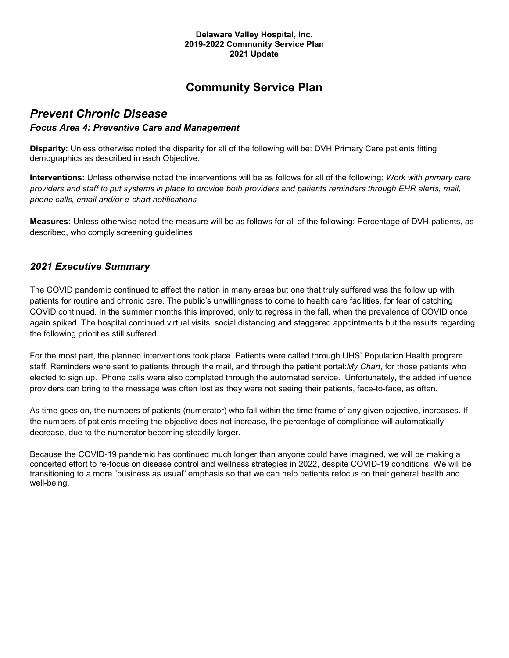#### **Delaware Valley Hospital, Inc. 2019-2022 Community Service Plan 2021 Update**

# **Community Service Plan**

# *Prevent Chronic Disease*

#### *Focus Area 4: Preventive Care and Management*

**Disparity:** Unless otherwise noted the disparity for all of the following will be: DVH Primary Care patients fitting demographics as described in each Objective.

**Interventions:** Unless otherwise noted the interventions will be as follows for all of the following: *Work with primary care providers and staff to put systems in place to provide both providers and patients reminders through EHR alerts, mail, phone calls, email and/or e-chart notifications*

**Measures:** Unless otherwise noted the measure will be as follows for all of the following: Percentage of DVH patients, as described, who comply screening guidelines

### *2021 Executive Summary*

The COVID pandemic continued to affect the nation in many areas but one that truly suffered was the follow up with patients for routine and chronic care. The public's unwillingness to come to health care facilities, for fear of catching COVID continued. In the summer months this improved, only to regress in the fall, when the prevalence of COVID once again spiked. The hospital continued virtual visits, social distancing and staggered appointments but the results regarding the following priorities still suffered.

For the most part, the planned interventions took place. Patients were called through UHS' Population Health program staff. Reminders were sent to patients through the mail, and through the patient portal:*My Chart*, for those patients who elected to sign up. Phone calls were also completed through the automated service. Unfortunately, the added influence providers can bring to the message was often lost as they were not seeing their patients, face-to-face, as often.

As time goes on, the numbers of patients (numerator) who fall within the time frame of any given objective, increases. If the numbers of patients meeting the objective does not increase, the percentage of compliance will automatically decrease, due to the numerator becoming steadily larger.

Because the COVID-19 pandemic has continued much longer than anyone could have imagined, we will be making a concerted effort to re-focus on disease control and wellness strategies in 2022, despite COVID-19 conditions. We will be transitioning to a more "business as usual" emphasis so that we can help patients refocus on their general health and well-being.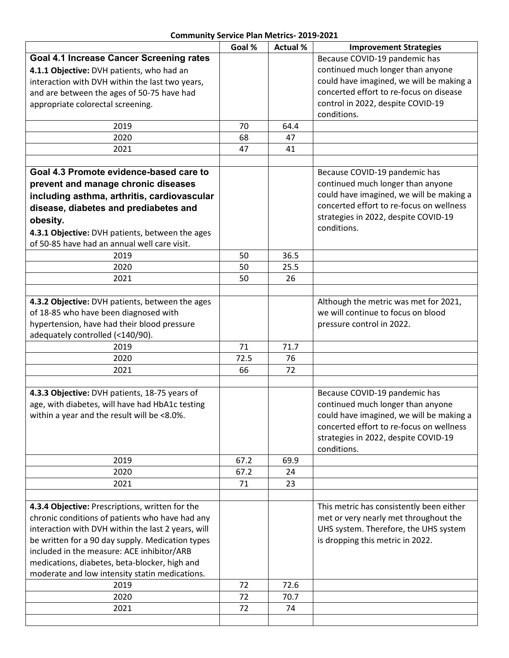### **Community Service Plan Metrics- 2019-2021**

|                                                                                                | Goal % | <b>Actual %</b> | <b>Improvement Strategies</b>                                                        |
|------------------------------------------------------------------------------------------------|--------|-----------------|--------------------------------------------------------------------------------------|
| <b>Goal 4.1 Increase Cancer Screening rates</b>                                                |        |                 | Because COVID-19 pandemic has                                                        |
| 4.1.1 Objective: DVH patients, who had an                                                      |        |                 | continued much longer than anyone                                                    |
| interaction with DVH within the last two years,                                                |        |                 | could have imagined, we will be making a                                             |
| and are between the ages of 50-75 have had                                                     |        |                 | concerted effort to re-focus on disease                                              |
| appropriate colorectal screening.                                                              |        |                 | control in 2022, despite COVID-19                                                    |
|                                                                                                |        |                 | conditions.                                                                          |
| 2019                                                                                           | 70     | 64.4            |                                                                                      |
| 2020                                                                                           | 68     | 47              |                                                                                      |
| 2021                                                                                           | 47     | 41              |                                                                                      |
|                                                                                                |        |                 |                                                                                      |
| Goal 4.3 Promote evidence-based care to                                                        |        |                 | Because COVID-19 pandemic has                                                        |
| prevent and manage chronic diseases                                                            |        |                 | continued much longer than anyone                                                    |
| including asthma, arthritis, cardiovascular                                                    |        |                 | could have imagined, we will be making a                                             |
| disease, diabetes and prediabetes and                                                          |        |                 | concerted effort to re-focus on wellness                                             |
| obesity.                                                                                       |        |                 | strategies in 2022, despite COVID-19                                                 |
| 4.3.1 Objective: DVH patients, between the ages                                                |        |                 | conditions.                                                                          |
| of 50-85 have had an annual well care visit.                                                   |        |                 |                                                                                      |
| 2019                                                                                           | 50     | 36.5            |                                                                                      |
| 2020                                                                                           | 50     | 25.5            |                                                                                      |
| 2021                                                                                           | 50     | 26              |                                                                                      |
|                                                                                                |        |                 |                                                                                      |
| 4.3.2 Objective: DVH patients, between the ages                                                |        |                 | Although the metric was met for 2021,                                                |
| of 18-85 who have been diagnosed with                                                          |        |                 | we will continue to focus on blood                                                   |
| hypertension, have had their blood pressure                                                    |        |                 | pressure control in 2022.                                                            |
| adequately controlled (<140/90).                                                               |        |                 |                                                                                      |
| 2019                                                                                           | 71     | 71.7            |                                                                                      |
| 2020                                                                                           | 72.5   | 76              |                                                                                      |
| 2021                                                                                           | 66     | 72              |                                                                                      |
|                                                                                                |        |                 |                                                                                      |
| 4.3.3 Objective: DVH patients, 18-75 years of                                                  |        |                 | Because COVID-19 pandemic has                                                        |
| age, with diabetes, will have had HbA1c testing<br>within a year and the result will be <8.0%. |        |                 | continued much longer than anyone                                                    |
|                                                                                                |        |                 | could have imagined, we will be making a<br>concerted effort to re-focus on wellness |
|                                                                                                |        |                 | strategies in 2022, despite COVID-19                                                 |
|                                                                                                |        |                 | conditions.                                                                          |
| 2019                                                                                           | 67.2   | 69.9            |                                                                                      |
| 2020                                                                                           | 67.2   | 24              |                                                                                      |
| 2021                                                                                           | 71     | 23              |                                                                                      |
|                                                                                                |        |                 |                                                                                      |
| 4.3.4 Objective: Prescriptions, written for the                                                |        |                 | This metric has consistently been either                                             |
| chronic conditions of patients who have had any                                                |        |                 | met or very nearly met throughout the                                                |
| interaction with DVH within the last 2 years, will                                             |        |                 | UHS system. Therefore, the UHS system                                                |
| be written for a 90 day supply. Medication types                                               |        |                 | is dropping this metric in 2022.                                                     |
| included in the measure: ACE inhibitor/ARB                                                     |        |                 |                                                                                      |
| medications, diabetes, beta-blocker, high and                                                  |        |                 |                                                                                      |
| moderate and low intensity statin medications.                                                 |        |                 |                                                                                      |
| 2019                                                                                           | 72     | 72.6            |                                                                                      |
| 2020                                                                                           | 72     | 70.7            |                                                                                      |
| 2021                                                                                           | 72     | 74              |                                                                                      |
|                                                                                                |        |                 |                                                                                      |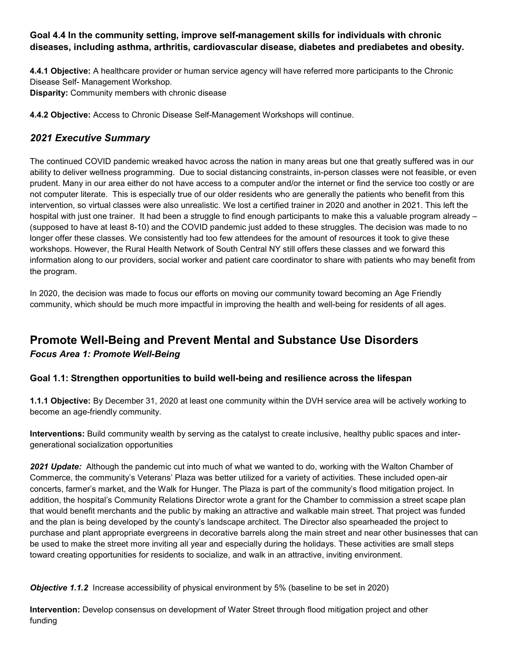### **Goal 4.4 In the community setting, improve self-management skills for individuals with chronic diseases, including asthma, arthritis, cardiovascular disease, diabetes and prediabetes and obesity.**

**4.4.1 Objective:** A healthcare provider or human service agency will have referred more participants to the Chronic Disease Self- Management Workshop. **Disparity:** Community members with chronic disease

**4.4.2 Objective:** Access to Chronic Disease Self-Management Workshops will continue.

## *2021 Executive Summary*

The continued COVID pandemic wreaked havoc across the nation in many areas but one that greatly suffered was in our ability to deliver wellness programming. Due to social distancing constraints, in-person classes were not feasible, or even prudent. Many in our area either do not have access to a computer and/or the internet or find the service too costly or are not computer literate. This is especially true of our older residents who are generally the patients who benefit from this intervention, so virtual classes were also unrealistic. We lost a certified trainer in 2020 and another in 2021. This left the hospital with just one trainer. It had been a struggle to find enough participants to make this a valuable program already – (supposed to have at least 8-10) and the COVID pandemic just added to these struggles. The decision was made to no longer offer these classes. We consistently had too few attendees for the amount of resources it took to give these workshops. However, the Rural Health Network of South Central NY still offers these classes and we forward this information along to our providers, social worker and patient care coordinator to share with patients who may benefit from the program.

In 2020, the decision was made to focus our efforts on moving our community toward becoming an Age Friendly community, which should be much more impactful in improving the health and well-being for residents of all ages.

# **Promote Well-Being and Prevent Mental and Substance Use Disorders** *Focus Area 1: Promote Well-Being*

#### **Goal 1.1: Strengthen opportunities to build well-being and resilience across the lifespan**

**1.1.1 Objective:** By December 31, 2020 at least one community within the DVH service area will be actively working to become an age-friendly community.

**Interventions:** Build community wealth by serving as the catalyst to create inclusive, healthy public spaces and intergenerational socialization opportunities

*2021 Update:* Although the pandemic cut into much of what we wanted to do, working with the Walton Chamber of Commerce, the community's Veterans' Plaza was better utilized for a variety of activities. These included open-air concerts, farmer's market, and the Walk for Hunger. The Plaza is part of the community's flood mitigation project. In addition, the hospital's Community Relations Director wrote a grant for the Chamber to commission a street scape plan that would benefit merchants and the public by making an attractive and walkable main street. That project was funded and the plan is being developed by the county's landscape architect. The Director also spearheaded the project to purchase and plant appropriate evergreens in decorative barrels along the main street and near other businesses that can be used to make the street more inviting all year and especially during the holidays. These activities are small steps toward creating opportunities for residents to socialize, and walk in an attractive, inviting environment.

*Objective 1.1.2* Increase accessibility of physical environment by 5% (baseline to be set in 2020)

**Intervention:** Develop consensus on development of Water Street through flood mitigation project and other funding